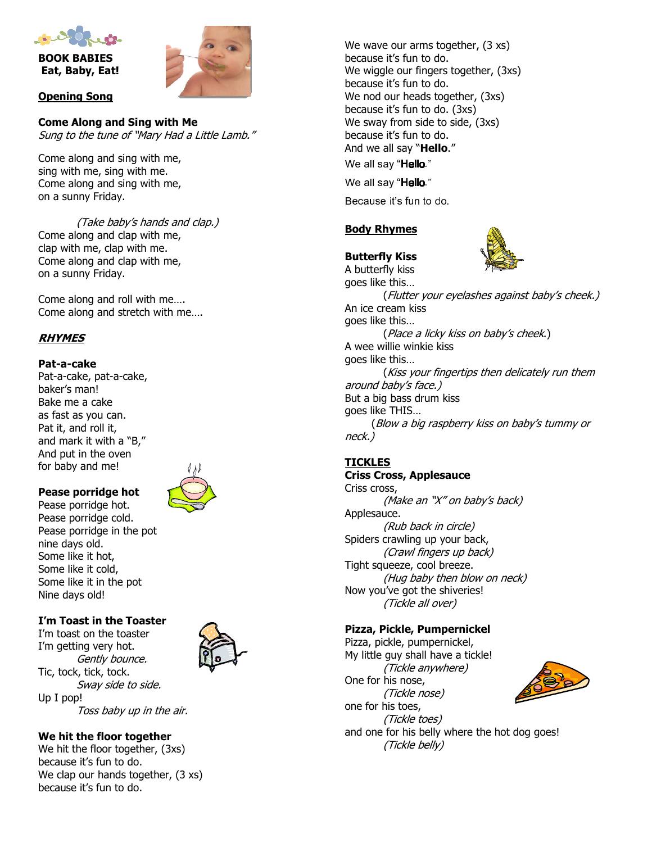

BOOK BABIES Eat, Baby, Eat!



#### Opening Song

Come Along and Sing with Me Sung to the tune of "Mary Had a Little Lamb."

Come along and sing with me, sing with me, sing with me. Come along and sing with me, on a sunny Friday.

(Take baby's hands and clap.) Come along and clap with me, clap with me, clap with me. Come along and clap with me, on a sunny Friday.

Come along and roll with me…. Come along and stretch with me….

# RHYMES

#### Pat-a-cake

Pat-a-cake, pat-a-cake, baker's man! Bake me a cake as fast as you can. Pat it, and roll it, and mark it with a "B," And put in the oven for baby and me!



#### Pease porridge hot Pease porridge hot. Pease porridge cold. Pease porridge in the pot nine days old. Some like it hot, Some like it cold, Some like it in the pot

#### I'm Toast in the Toaster

Nine days old!

I'm toast on the toaster I'm getting very hot. Gently bounce. Tic, tock, tick, tock. Sway side to side. Up I pop! Toss baby up in the air.



We wave our arms together, (3 xs) because it's fun to do. We wiggle our fingers together, (3xs) because it's fun to do. We nod our heads together, (3xs) because it's fun to do. (3xs) We sway from side to side, (3xs) because it's fun to do. And we all say "**Hello.**" We all say "Hello." We all say "Hello."

Because it's fun to do.

# Body Rhymes

# Butterfly Kiss



A butterfly kiss goes like this… (Flutter your eyelashes against baby's cheek.) An ice cream kiss goes like this… (Place a licky kiss on baby's cheek.) A wee willie winkie kiss goes like this… (Kiss your fingertips then delicately run them around baby's face.) But a big bass drum kiss goes like THIS… (Blow a big raspberry kiss on baby's tummy or neck.)

# **TICKLES**

#### Criss Cross, Applesauce Criss cross, (Make an "X" on baby's back) Applesauce. (Rub back in circle) Spiders crawling up your back, (Crawl fingers up back) Tight squeeze, cool breeze. (Hug baby then blow on neck) Now you've got the shiveries! (Tickle all over)

#### Pizza, Pickle, Pumpernickel

Pizza, pickle, pumpernickel, My little guy shall have a tickle! (Tickle anywhere) One for his nose, (Tickle nose) one for his toes, (Tickle toes) and one for his belly where the hot dog goes! (Tickle belly)



We hit the floor together

We hit the floor together, (3xs) because it's fun to do. We clap our hands together, (3 xs) because it's fun to do.